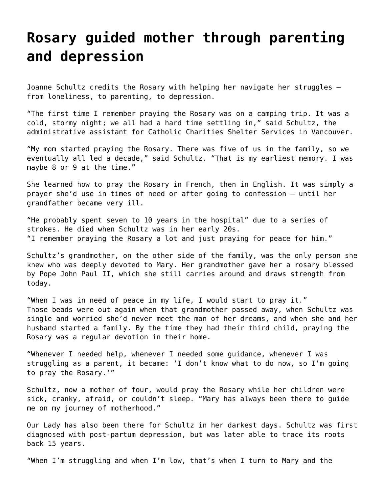## **[Rosary guided mother through parenting](https://grandinmedia.ca/rosary-guided-mother-parenting-depression/) [and depression](https://grandinmedia.ca/rosary-guided-mother-parenting-depression/)**

Joanne Schultz credits the Rosary with helping her navigate her struggles – from loneliness, to parenting, to depression.

"The first time I remember praying the Rosary was on a camping trip. It was a cold, stormy night; we all had a hard time settling in," said Schultz, the administrative assistant for Catholic Charities Shelter Services in Vancouver.

"My mom started praying the Rosary. There was five of us in the family, so we eventually all led a decade," said Schultz. "That is my earliest memory. I was maybe 8 or 9 at the time."

She learned how to pray the Rosary in French, then in English. It was simply a prayer she'd use in times of need or after going to confession — until her grandfather became very ill.

"He probably spent seven to 10 years in the hospital" due to a series of strokes. He died when Schultz was in her early 20s. "I remember praying the Rosary a lot and just praying for peace for him."

Schultz's grandmother, on the other side of the family, was the only person she knew who was deeply devoted to Mary. Her grandmother gave her a rosary blessed by Pope John Paul II, which she still carries around and draws strength from today.

"When I was in need of peace in my life, I would start to pray it." Those beads were out again when that grandmother passed away, when Schultz was single and worried she'd never meet the man of her dreams, and when she and her husband started a family. By the time they had their third child, praying the Rosary was a regular devotion in their home.

"Whenever I needed help, whenever I needed some guidance, whenever I was struggling as a parent, it became: 'I don't know what to do now, so I'm going to pray the Rosary.'"

Schultz, now a mother of four, would pray the Rosary while her children were sick, cranky, afraid, or couldn't sleep. "Mary has always been there to guide me on my journey of motherhood."

Our Lady has also been there for Schultz in her darkest days. Schultz was first diagnosed with post-partum depression, but was later able to trace its roots back 15 years.

"When I'm struggling and when I'm low, that's when I turn to Mary and the